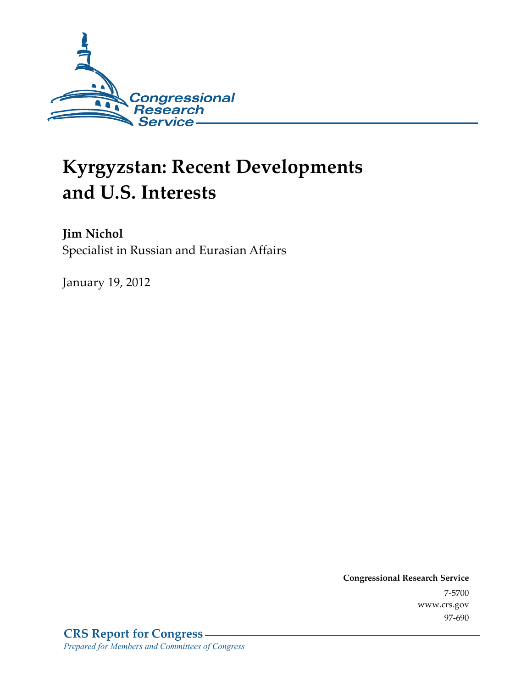

# **Kyrgyzstan: Recent Developments and U.S. Interests**

**Jim Nichol**  Specialist in Russian and Eurasian Affairs

January 19, 2012

**Congressional Research Service**  7-5700 www.crs.gov 97-690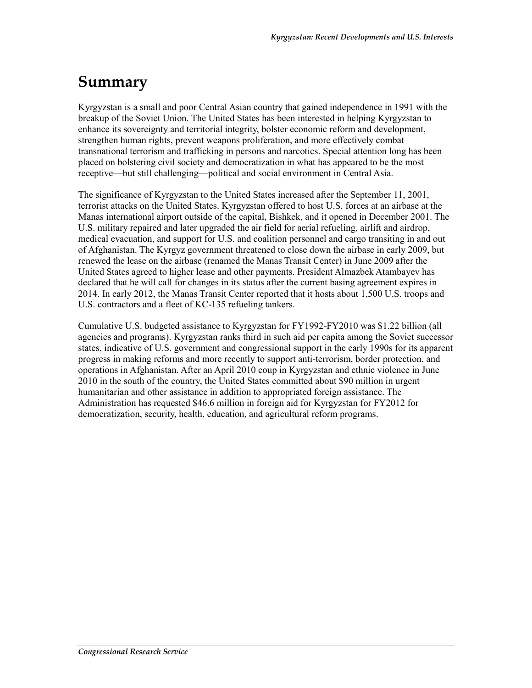## **Summary**

Kyrgyzstan is a small and poor Central Asian country that gained independence in 1991 with the breakup of the Soviet Union. The United States has been interested in helping Kyrgyzstan to enhance its sovereignty and territorial integrity, bolster economic reform and development, strengthen human rights, prevent weapons proliferation, and more effectively combat transnational terrorism and trafficking in persons and narcotics. Special attention long has been placed on bolstering civil society and democratization in what has appeared to be the most receptive—but still challenging—political and social environment in Central Asia.

The significance of Kyrgyzstan to the United States increased after the September 11, 2001, terrorist attacks on the United States. Kyrgyzstan offered to host U.S. forces at an airbase at the Manas international airport outside of the capital, Bishkek, and it opened in December 2001. The U.S. military repaired and later upgraded the air field for aerial refueling, airlift and airdrop, medical evacuation, and support for U.S. and coalition personnel and cargo transiting in and out of Afghanistan. The Kyrgyz government threatened to close down the airbase in early 2009, but renewed the lease on the airbase (renamed the Manas Transit Center) in June 2009 after the United States agreed to higher lease and other payments. President Almazbek Atambayev has declared that he will call for changes in its status after the current basing agreement expires in 2014. In early 2012, the Manas Transit Center reported that it hosts about 1,500 U.S. troops and U.S. contractors and a fleet of KC-135 refueling tankers.

Cumulative U.S. budgeted assistance to Kyrgyzstan for FY1992-FY2010 was \$1.22 billion (all agencies and programs). Kyrgyzstan ranks third in such aid per capita among the Soviet successor states, indicative of U.S. government and congressional support in the early 1990s for its apparent progress in making reforms and more recently to support anti-terrorism, border protection, and operations in Afghanistan. After an April 2010 coup in Kyrgyzstan and ethnic violence in June 2010 in the south of the country, the United States committed about \$90 million in urgent humanitarian and other assistance in addition to appropriated foreign assistance. The Administration has requested \$46.6 million in foreign aid for Kyrgyzstan for FY2012 for democratization, security, health, education, and agricultural reform programs.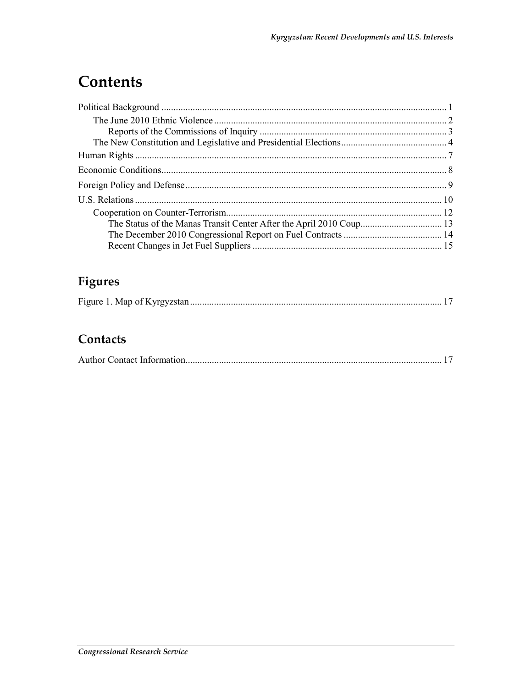## Contents

### Figures

|--|

#### Contacts

|--|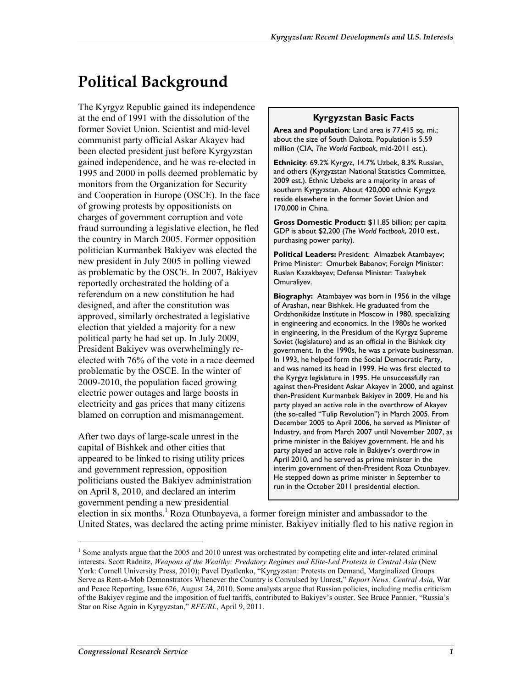## **Political Background**

The Kyrgyz Republic gained its independence at the end of 1991 with the dissolution of the former Soviet Union. Scientist and mid-level communist party official Askar Akayev had been elected president just before Kyrgyzstan gained independence, and he was re-elected in 1995 and 2000 in polls deemed problematic by monitors from the Organization for Security and Cooperation in Europe (OSCE). In the face of growing protests by oppositionists on charges of government corruption and vote fraud surrounding a legislative election, he fled the country in March 2005. Former opposition politician Kurmanbek Bakiyev was elected the new president in July 2005 in polling viewed as problematic by the OSCE. In 2007, Bakiyev reportedly orchestrated the holding of a referendum on a new constitution he had designed, and after the constitution was approved, similarly orchestrated a legislative election that yielded a majority for a new political party he had set up. In July 2009, President Bakiyev was overwhelmingly reelected with 76% of the vote in a race deemed problematic by the OSCE. In the winter of 2009-2010, the population faced growing electric power outages and large boosts in electricity and gas prices that many citizens blamed on corruption and mismanagement.

After two days of large-scale unrest in the capital of Bishkek and other cities that appeared to be linked to rising utility prices and government repression, opposition politicians ousted the Bakiyev administration on April 8, 2010, and declared an interim government pending a new presidential

#### **Kyrgyzstan Basic Facts**

**Area and Population**: Land area is 77,415 sq. mi.; about the size of South Dakota. Population is 5.59 million (CIA, *The World Factbook*, mid-2011 est.).

**Ethnicity**: 69.2% Kyrgyz, 14.7% Uzbek, 8.3% Russian, and others (Kyrgyzstan National Statistics Committee, 2009 est.). Ethnic Uzbeks are a majority in areas of southern Kyrgyzstan. About 420,000 ethnic Kyrgyz reside elsewhere in the former Soviet Union and 170,000 in China.

**Gross Domestic Product:** \$11.85 billion; per capita GDP is about \$2,200 (*The World Factbook*, 2010 est., purchasing power parity).

**Political Leaders:** President: Almazbek Atambayev; Prime Minister: Omurbek Babanov; Foreign Minister: Ruslan Kazakbayev; Defense Minister: Taalaybek Omuraliyev.

**Biography:** Atambayev was born in 1956 in the village of Arashan, near Bishkek. He graduated from the Ordzhonikidze Institute in Moscow in 1980, specializing in engineering and economics. In the 1980s he worked in engineering, in the Presidium of the Kyrgyz Supreme Soviet (legislature) and as an official in the Bishkek city government. In the 1990s, he was a private businessman. In 1993, he helped form the Social Democratic Party, and was named its head in 1999. He was first elected to the Kyrgyz legislature in 1995. He unsuccessfully ran against then-President Askar Akayev in 2000, and against then-President Kurmanbek Bakiyev in 2009. He and his party played an active role in the overthrow of Akayev (the so-called "Tulip Revolution") in March 2005. From December 2005 to April 2006, he served as Minister of Industry, and from March 2007 until November 2007, as prime minister in the Bakiyev government. He and his party played an active role in Bakiyev's overthrow in April 2010, and he served as prime minister in the interim government of then-President Roza Otunbayev. He stepped down as prime minister in September to run in the October 2011 presidential election.

election in six months.<sup>1</sup> Roza Otunbayeva, a former foreign minister and ambassador to the United States, was declared the acting prime minister. Bakiyev initially fled to his native region in

<sup>&</sup>lt;sup>1</sup> Some analysts argue that the 2005 and 2010 unrest was orchestrated by competing elite and inter-related criminal interests. Scott Radnitz, *Weapons of the Wealthy: Predatory Regimes and Elite-Led Protests in Central Asia* (New York: Cornell University Press, 2010); Pavel Dyatlenko, "Kyrgyzstan: Protests on Demand, Marginalized Groups Serve as Rent-a-Mob Demonstrators Whenever the Country is Convulsed by Unrest," *Report News: Central Asia*, War and Peace Reporting, Issue 626, August 24, 2010. Some analysts argue that Russian policies, including media criticism of the Bakiyev regime and the imposition of fuel tariffs, contributed to Bakiyev's ouster. See Bruce Pannier, "Russia's Star on Rise Again in Kyrgyzstan," *RFE/RL*, April 9, 2011.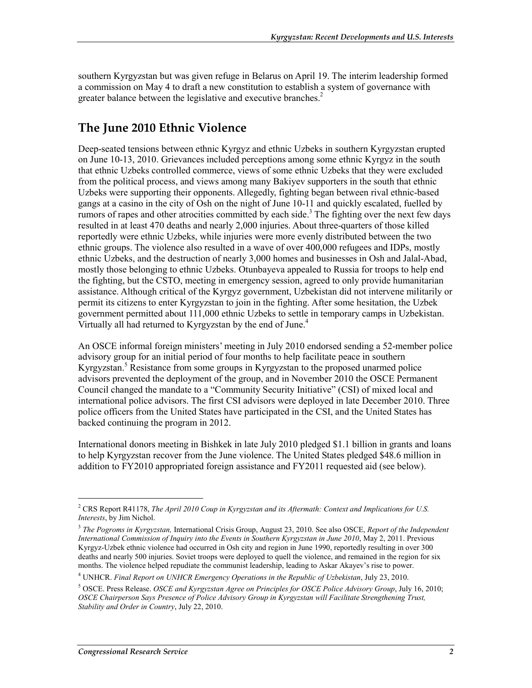southern Kyrgyzstan but was given refuge in Belarus on April 19. The interim leadership formed a commission on May 4 to draft a new constitution to establish a system of governance with greater balance between the legislative and executive branches.<sup>2</sup>

### **The June 2010 Ethnic Violence**

Deep-seated tensions between ethnic Kyrgyz and ethnic Uzbeks in southern Kyrgyzstan erupted on June 10-13, 2010. Grievances included perceptions among some ethnic Kyrgyz in the south that ethnic Uzbeks controlled commerce, views of some ethnic Uzbeks that they were excluded from the political process, and views among many Bakiyev supporters in the south that ethnic Uzbeks were supporting their opponents. Allegedly, fighting began between rival ethnic-based gangs at a casino in the city of Osh on the night of June 10-11 and quickly escalated, fuelled by rumors of rapes and other atrocities committed by each side.<sup>3</sup> The fighting over the next few days resulted in at least 470 deaths and nearly 2,000 injuries. About three-quarters of those killed reportedly were ethnic Uzbeks, while injuries were more evenly distributed between the two ethnic groups. The violence also resulted in a wave of over 400,000 refugees and IDPs, mostly ethnic Uzbeks, and the destruction of nearly 3,000 homes and businesses in Osh and Jalal-Abad, mostly those belonging to ethnic Uzbeks. Otunbayeva appealed to Russia for troops to help end the fighting, but the CSTO, meeting in emergency session, agreed to only provide humanitarian assistance. Although critical of the Kyrgyz government, Uzbekistan did not intervene militarily or permit its citizens to enter Kyrgyzstan to join in the fighting. After some hesitation, the Uzbek government permitted about 111,000 ethnic Uzbeks to settle in temporary camps in Uzbekistan. Virtually all had returned to Kyrgyzstan by the end of June.<sup>4</sup>

An OSCE informal foreign ministers' meeting in July 2010 endorsed sending a 52-member police advisory group for an initial period of four months to help facilitate peace in southern Kyrgyzstan.<sup>5</sup> Resistance from some groups in Kyrgyzstan to the proposed unarmed police advisors prevented the deployment of the group, and in November 2010 the OSCE Permanent Council changed the mandate to a "Community Security Initiative" (CSI) of mixed local and international police advisors. The first CSI advisors were deployed in late December 2010. Three police officers from the United States have participated in the CSI, and the United States has backed continuing the program in 2012.

International donors meeting in Bishkek in late July 2010 pledged \$1.1 billion in grants and loans to help Kyrgyzstan recover from the June violence. The United States pledged \$48.6 million in addition to FY2010 appropriated foreign assistance and FY2011 requested aid (see below).

 $\overline{a}$ 

<sup>2</sup> CRS Report R41178, *The April 2010 Coup in Kyrgyzstan and its Aftermath: Context and Implications for U.S. Interests*, by Jim Nichol.

<sup>3</sup> *The Pogroms in Kyrgyzstan,* International Crisis Group, August 23, 2010. See also OSCE, *Report of the Independent International Commission of Inquiry into the Events in Southern Kyrgyzstan in June 2010*, May 2, 2011. Previous Kyrgyz-Uzbek ethnic violence had occurred in Osh city and region in June 1990, reportedly resulting in over 300 deaths and nearly 500 injuries. Soviet troops were deployed to quell the violence, and remained in the region for six months. The violence helped repudiate the communist leadership, leading to Askar Akayev's rise to power.

<sup>4</sup> UNHCR. *Final Report on UNHCR Emergency Operations in the Republic of Uzbekistan*, July 23, 2010.

<sup>5</sup> OSCE. Press Release. *OSCE and Kyrgyzstan Agree on Principles for OSCE Police Advisory Group*, July 16, 2010; *OSCE Chairperson Says Presence of Police Advisory Group in Kyrgyzstan will Facilitate Strengthening Trust, Stability and Order in Country*, July 22, 2010.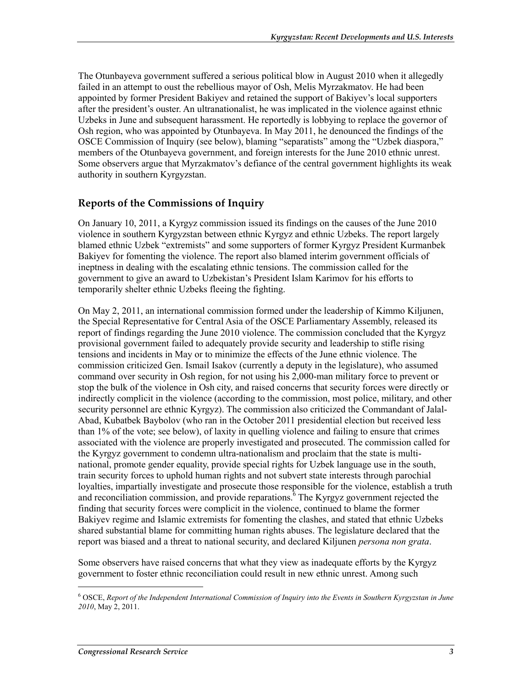The Otunbayeva government suffered a serious political blow in August 2010 when it allegedly failed in an attempt to oust the rebellious mayor of Osh, Melis Myrzakmatov. He had been appointed by former President Bakiyev and retained the support of Bakiyev's local supporters after the president's ouster. An ultranationalist, he was implicated in the violence against ethnic Uzbeks in June and subsequent harassment. He reportedly is lobbying to replace the governor of Osh region, who was appointed by Otunbayeva. In May 2011, he denounced the findings of the OSCE Commission of Inquiry (see below), blaming "separatists" among the "Uzbek diaspora," members of the Otunbayeva government, and foreign interests for the June 2010 ethnic unrest. Some observers argue that Myrzakmatov's defiance of the central government highlights its weak authority in southern Kyrgyzstan.

#### **Reports of the Commissions of Inquiry**

On January 10, 2011, a Kyrgyz commission issued its findings on the causes of the June 2010 violence in southern Kyrgyzstan between ethnic Kyrgyz and ethnic Uzbeks. The report largely blamed ethnic Uzbek "extremists" and some supporters of former Kyrgyz President Kurmanbek Bakiyev for fomenting the violence. The report also blamed interim government officials of ineptness in dealing with the escalating ethnic tensions. The commission called for the government to give an award to Uzbekistan's President Islam Karimov for his efforts to temporarily shelter ethnic Uzbeks fleeing the fighting.

On May 2, 2011, an international commission formed under the leadership of Kimmo Kiljunen, the Special Representative for Central Asia of the OSCE Parliamentary Assembly, released its report of findings regarding the June 2010 violence. The commission concluded that the Kyrgyz provisional government failed to adequately provide security and leadership to stifle rising tensions and incidents in May or to minimize the effects of the June ethnic violence. The commission criticized Gen. Ismail Isakov (currently a deputy in the legislature), who assumed command over security in Osh region, for not using his 2,000-man military force to prevent or stop the bulk of the violence in Osh city, and raised concerns that security forces were directly or indirectly complicit in the violence (according to the commission, most police, military, and other security personnel are ethnic Kyrgyz). The commission also criticized the Commandant of Jalal-Abad, Kubatbek Baybolov (who ran in the October 2011 presidential election but received less than 1% of the vote; see below), of laxity in quelling violence and failing to ensure that crimes associated with the violence are properly investigated and prosecuted. The commission called for the Kyrgyz government to condemn ultra-nationalism and proclaim that the state is multinational, promote gender equality, provide special rights for Uzbek language use in the south, train security forces to uphold human rights and not subvert state interests through parochial loyalties, impartially investigate and prosecute those responsible for the violence, establish a truth and reconciliation commission, and provide reparations.  $\delta$  The Kyrgyz government rejected the finding that security forces were complicit in the violence, continued to blame the former Bakiyev regime and Islamic extremists for fomenting the clashes, and stated that ethnic Uzbeks shared substantial blame for committing human rights abuses. The legislature declared that the report was biased and a threat to national security, and declared Kiljunen *persona non grata*.

Some observers have raised concerns that what they view as inadequate efforts by the Kyrgyz government to foster ethnic reconciliation could result in new ethnic unrest. Among such

<sup>6</sup> OSCE, *Report of the Independent International Commission of Inquiry into the Events in Southern Kyrgyzstan in June 2010*, May 2, 2011.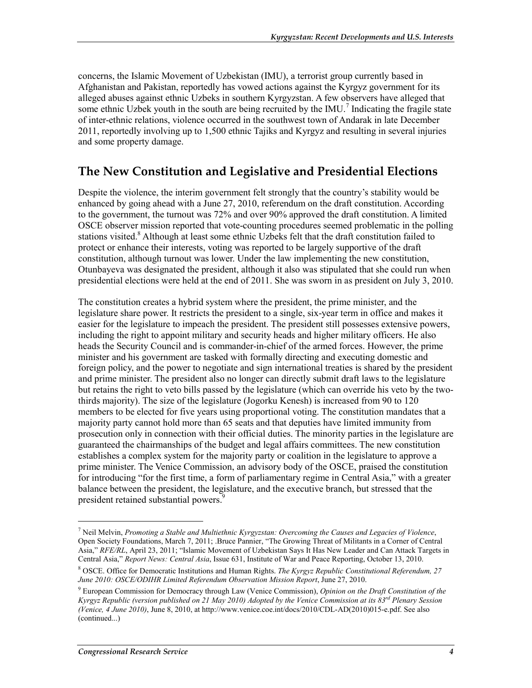concerns, the Islamic Movement of Uzbekistan (IMU), a terrorist group currently based in Afghanistan and Pakistan, reportedly has vowed actions against the Kyrgyz government for its alleged abuses against ethnic Uzbeks in southern Kyrgyzstan. A few observers have alleged that some ethnic Uzbek youth in the south are being recruited by the IMU.<sup>7</sup> Indicating the fragile state of inter-ethnic relations, violence occurred in the southwest town of Andarak in late December 2011, reportedly involving up to 1,500 ethnic Tajiks and Kyrgyz and resulting in several injuries and some property damage.

#### **The New Constitution and Legislative and Presidential Elections**

Despite the violence, the interim government felt strongly that the country's stability would be enhanced by going ahead with a June 27, 2010, referendum on the draft constitution. According to the government, the turnout was 72% and over 90% approved the draft constitution. A limited OSCE observer mission reported that vote-counting procedures seemed problematic in the polling stations visited.<sup>8</sup> Although at least some ethnic Uzbeks felt that the draft constitution failed to protect or enhance their interests, voting was reported to be largely supportive of the draft constitution, although turnout was lower. Under the law implementing the new constitution, Otunbayeva was designated the president, although it also was stipulated that she could run when presidential elections were held at the end of 2011. She was sworn in as president on July 3, 2010.

The constitution creates a hybrid system where the president, the prime minister, and the legislature share power. It restricts the president to a single, six-year term in office and makes it easier for the legislature to impeach the president. The president still possesses extensive powers, including the right to appoint military and security heads and higher military officers. He also heads the Security Council and is commander-in-chief of the armed forces. However, the prime minister and his government are tasked with formally directing and executing domestic and foreign policy, and the power to negotiate and sign international treaties is shared by the president and prime minister. The president also no longer can directly submit draft laws to the legislature but retains the right to veto bills passed by the legislature (which can override his veto by the twothirds majority). The size of the legislature (Jogorku Kenesh) is increased from 90 to 120 members to be elected for five years using proportional voting. The constitution mandates that a majority party cannot hold more than 65 seats and that deputies have limited immunity from prosecution only in connection with their official duties. The minority parties in the legislature are guaranteed the chairmanships of the budget and legal affairs committees. The new constitution establishes a complex system for the majority party or coalition in the legislature to approve a prime minister. The Venice Commission, an advisory body of the OSCE, praised the constitution for introducing "for the first time, a form of parliamentary regime in Central Asia," with a greater balance between the president, the legislature, and the executive branch, but stressed that the president retained substantial powers.<sup>9</sup>

 $\overline{a}$ 

<sup>7</sup> Neil Melvin, *Promoting a Stable and Multiethnic Kyrgyzstan: Overcoming the Causes and Legacies of Violence*, Open Society Foundations, March 7, 2011; .Bruce Pannier, "The Growing Threat of Militants in a Corner of Central Asia," *RFE/RL*, April 23, 2011; "Islamic Movement of Uzbekistan Says It Has New Leader and Can Attack Targets in Central Asia," *Report News: Central Asia*, Issue 631, Institute of War and Peace Reporting, October 13, 2010.

<sup>8</sup> OSCE. Office for Democratic Institutions and Human Rights. *The Kyrgyz Republic Constitutional Referendum, 27 June 2010: OSCE/ODIHR Limited Referendum Observation Mission Report*, June 27, 2010.

<sup>9</sup> European Commission for Democracy through Law (Venice Commission), *Opinion on the Draft Constitution of the Kyrgyz Republic (version published on 21 May 2010) Adopted by the Venice Commission at its 83rd Plenary Session (Venice, 4 June 2010)*, June 8, 2010, at http://www.venice.coe.int/docs/2010/CDL-AD(2010)015-e.pdf. See also (continued...)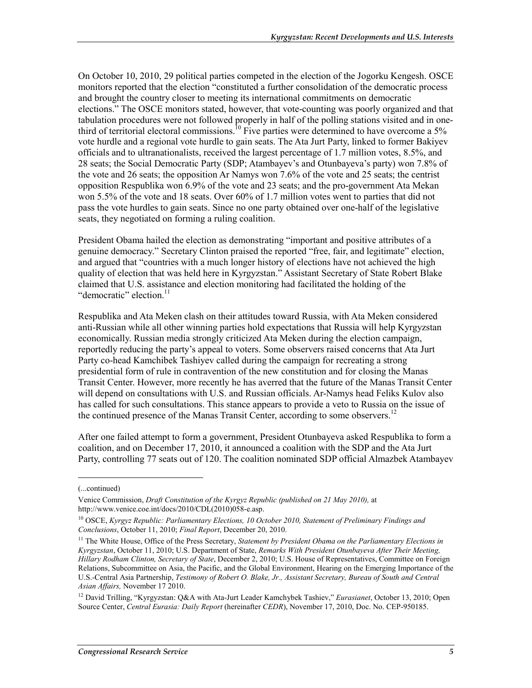On October 10, 2010, 29 political parties competed in the election of the Jogorku Kengesh. OSCE monitors reported that the election "constituted a further consolidation of the democratic process and brought the country closer to meeting its international commitments on democratic elections." The OSCE monitors stated, however, that vote-counting was poorly organized and that tabulation procedures were not followed properly in half of the polling stations visited and in onethird of territorial electoral commissions.<sup>10</sup> Five parties were determined to have overcome a 5% vote hurdle and a regional vote hurdle to gain seats. The Ata Jurt Party, linked to former Bakiyev officials and to ultranationalists, received the largest percentage of 1.7 million votes, 8.5%, and 28 seats; the Social Democratic Party (SDP; Atambayev's and Otunbayeva's party) won 7.8% of the vote and 26 seats; the opposition Ar Namys won 7.6% of the vote and 25 seats; the centrist opposition Respublika won 6.9% of the vote and 23 seats; and the pro-government Ata Mekan won 5.5% of the vote and 18 seats. Over 60% of 1.7 million votes went to parties that did not pass the vote hurdles to gain seats. Since no one party obtained over one-half of the legislative seats, they negotiated on forming a ruling coalition.

President Obama hailed the election as demonstrating "important and positive attributes of a genuine democracy." Secretary Clinton praised the reported "free, fair, and legitimate" election, and argued that "countries with a much longer history of elections have not achieved the high quality of election that was held here in Kyrgyzstan." Assistant Secretary of State Robert Blake claimed that U.S. assistance and election monitoring had facilitated the holding of the "democratic" election.<sup>11</sup>

Respublika and Ata Meken clash on their attitudes toward Russia, with Ata Meken considered anti-Russian while all other winning parties hold expectations that Russia will help Kyrgyzstan economically. Russian media strongly criticized Ata Meken during the election campaign, reportedly reducing the party's appeal to voters. Some observers raised concerns that Ata Jurt Party co-head Kamchibek Tashiyev called during the campaign for recreating a strong presidential form of rule in contravention of the new constitution and for closing the Manas Transit Center. However, more recently he has averred that the future of the Manas Transit Center will depend on consultations with U.S. and Russian officials. Ar-Namys head Feliks Kulov also has called for such consultations. This stance appears to provide a veto to Russia on the issue of the continued presence of the Manas Transit Center, according to some observers.<sup>12</sup>

After one failed attempt to form a government, President Otunbayeva asked Respublika to form a coalition, and on December 17, 2010, it announced a coalition with the SDP and the Ata Jurt Party, controlling 77 seats out of 120. The coalition nominated SDP official Almazbek Atambayev

<sup>(...</sup>continued)

Venice Commission, *Draft Constitution of the Kyrgyz Republic (published on 21 May 2010),* at http://www.venice.coe.int/docs/2010/CDL(2010)058-e.asp.

<sup>10</sup> OSCE, *Kyrgyz Republic: Parliamentary Elections, 10 October 2010, Statement of Preliminary Findings and Conclusions*, October 11, 2010; *Final Report*, December 20, 2010.

<sup>&</sup>lt;sup>11</sup> The White House, Office of the Press Secretary, *Statement by President Obama on the Parliamentary Elections in Kyrgyzstan*, October 11, 2010; U.S. Department of State, *Remarks With President Otunbayeva After Their Meeting, Hillary Rodham Clinton, Secretary of State*, December 2, 2010; U.S. House of Representatives, Committee on Foreign Relations, Subcommittee on Asia, the Pacific, and the Global Environment, Hearing on the Emerging Importance of the U.S.-Central Asia Partnership, *Testimony of Robert O. Blake, Jr., Assistant Secretary, Bureau of South and Central Asian Affairs,* November 17 2010.

<sup>12</sup> David Trilling, "Kyrgyzstan: Q&A with Ata-Jurt Leader Kamchybek Tashiev," *Eurasianet*, October 13, 2010; Open Source Center, *Central Eurasia: Daily Report* (hereinafter *CEDR*), November 17, 2010, Doc. No. CEP-950185.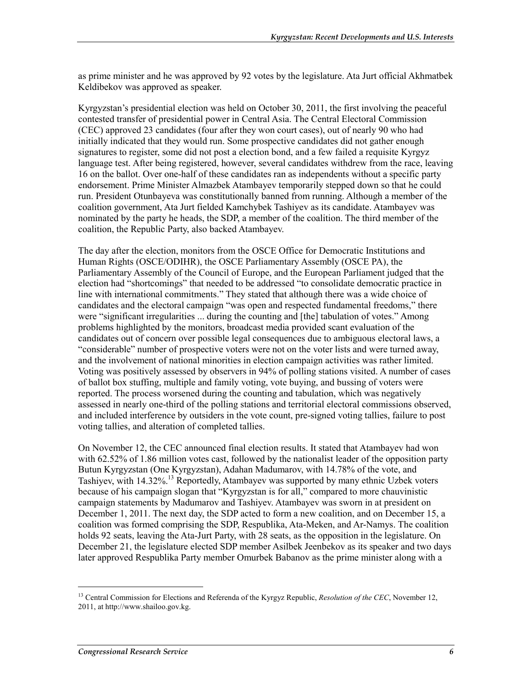as prime minister and he was approved by 92 votes by the legislature. Ata Jurt official Akhmatbek Keldibekov was approved as speaker.

Kyrgyzstan's presidential election was held on October 30, 2011, the first involving the peaceful contested transfer of presidential power in Central Asia. The Central Electoral Commission (CEC) approved 23 candidates (four after they won court cases), out of nearly 90 who had initially indicated that they would run. Some prospective candidates did not gather enough signatures to register, some did not post a election bond, and a few failed a requisite Kyrgyz language test. After being registered, however, several candidates withdrew from the race, leaving 16 on the ballot. Over one-half of these candidates ran as independents without a specific party endorsement. Prime Minister Almazbek Atambayev temporarily stepped down so that he could run. President Otunbayeva was constitutionally banned from running. Although a member of the coalition government, Ata Jurt fielded Kamchybek Tashiyev as its candidate. Atambayev was nominated by the party he heads, the SDP, a member of the coalition. The third member of the coalition, the Republic Party, also backed Atambayev.

The day after the election, monitors from the OSCE Office for Democratic Institutions and Human Rights (OSCE/ODIHR), the OSCE Parliamentary Assembly (OSCE PA), the Parliamentary Assembly of the Council of Europe, and the European Parliament judged that the election had "shortcomings" that needed to be addressed "to consolidate democratic practice in line with international commitments." They stated that although there was a wide choice of candidates and the electoral campaign "was open and respected fundamental freedoms," there were "significant irregularities ... during the counting and [the] tabulation of votes." Among problems highlighted by the monitors, broadcast media provided scant evaluation of the candidates out of concern over possible legal consequences due to ambiguous electoral laws, a "considerable" number of prospective voters were not on the voter lists and were turned away, and the involvement of national minorities in election campaign activities was rather limited. Voting was positively assessed by observers in 94% of polling stations visited. A number of cases of ballot box stuffing, multiple and family voting, vote buying, and bussing of voters were reported. The process worsened during the counting and tabulation, which was negatively assessed in nearly one-third of the polling stations and territorial electoral commissions observed, and included interference by outsiders in the vote count, pre-signed voting tallies, failure to post voting tallies, and alteration of completed tallies.

On November 12, the CEC announced final election results. It stated that Atambayev had won with 62.52% of 1.86 million votes cast, followed by the nationalist leader of the opposition party Butun Kyrgyzstan (One Kyrgyzstan), Adahan Madumarov, with 14.78% of the vote, and Tashiyev, with 14.32%.<sup>13</sup> Reportedly, Atambayev was supported by many ethnic Uzbek voters because of his campaign slogan that "Kyrgyzstan is for all," compared to more chauvinistic campaign statements by Madumarov and Tashiyev. Atambayev was sworn in at president on December 1, 2011. The next day, the SDP acted to form a new coalition, and on December 15, a coalition was formed comprising the SDP, Respublika, Ata-Meken, and Ar-Namys. The coalition holds 92 seats, leaving the Ata-Jurt Party, with 28 seats, as the opposition in the legislature. On December 21, the legislature elected SDP member Asilbek Jeenbekov as its speaker and two days later approved Respublika Party member Omurbek Babanov as the prime minister along with a

<sup>&</sup>lt;sup>13</sup> Central Commission for Elections and Referenda of the Kyrgyz Republic, *Resolution of the CEC*, November 12, 2011, at http://www.shailoo.gov.kg.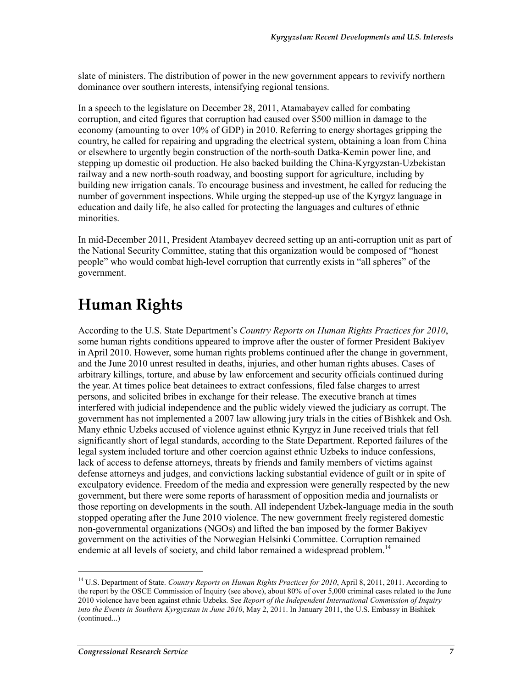slate of ministers. The distribution of power in the new government appears to revivify northern dominance over southern interests, intensifying regional tensions.

In a speech to the legislature on December 28, 2011, Atamabayev called for combating corruption, and cited figures that corruption had caused over \$500 million in damage to the economy (amounting to over 10% of GDP) in 2010. Referring to energy shortages gripping the country, he called for repairing and upgrading the electrical system, obtaining a loan from China or elsewhere to urgently begin construction of the north-south Datka-Kemin power line, and stepping up domestic oil production. He also backed building the China-Kyrgyzstan-Uzbekistan railway and a new north-south roadway, and boosting support for agriculture, including by building new irrigation canals. To encourage business and investment, he called for reducing the number of government inspections. While urging the stepped-up use of the Kyrgyz language in education and daily life, he also called for protecting the languages and cultures of ethnic minorities.

In mid-December 2011, President Atambayev decreed setting up an anti-corruption unit as part of the National Security Committee, stating that this organization would be composed of "honest people" who would combat high-level corruption that currently exists in "all spheres" of the government.

## **Human Rights**

According to the U.S. State Department's *Country Reports on Human Rights Practices for 2010*, some human rights conditions appeared to improve after the ouster of former President Bakiyev in April 2010. However, some human rights problems continued after the change in government, and the June 2010 unrest resulted in deaths, injuries, and other human rights abuses. Cases of arbitrary killings, torture, and abuse by law enforcement and security officials continued during the year. At times police beat detainees to extract confessions, filed false charges to arrest persons, and solicited bribes in exchange for their release. The executive branch at times interfered with judicial independence and the public widely viewed the judiciary as corrupt. The government has not implemented a 2007 law allowing jury trials in the cities of Bishkek and Osh. Many ethnic Uzbeks accused of violence against ethnic Kyrgyz in June received trials that fell significantly short of legal standards, according to the State Department. Reported failures of the legal system included torture and other coercion against ethnic Uzbeks to induce confessions, lack of access to defense attorneys, threats by friends and family members of victims against defense attorneys and judges, and convictions lacking substantial evidence of guilt or in spite of exculpatory evidence. Freedom of the media and expression were generally respected by the new government, but there were some reports of harassment of opposition media and journalists or those reporting on developments in the south. All independent Uzbek-language media in the south stopped operating after the June 2010 violence. The new government freely registered domestic non-governmental organizations (NGOs) and lifted the ban imposed by the former Bakiyev government on the activities of the Norwegian Helsinki Committee. Corruption remained endemic at all levels of society, and child labor remained a widespread problem.<sup>14</sup>

<sup>&</sup>lt;sup>14</sup> U.S. Department of State. *Country Reports on Human Rights Practices for 2010*, April 8, 2011, 2011. According to the report by the OSCE Commission of Inquiry (see above), about 80% of over 5,000 criminal cases related to the June 2010 violence have been against ethnic Uzbeks. See *Report of the Independent International Commission of Inquiry into the Events in Southern Kyrgyzstan in June 2010*, May 2, 2011. In January 2011, the U.S. Embassy in Bishkek (continued...)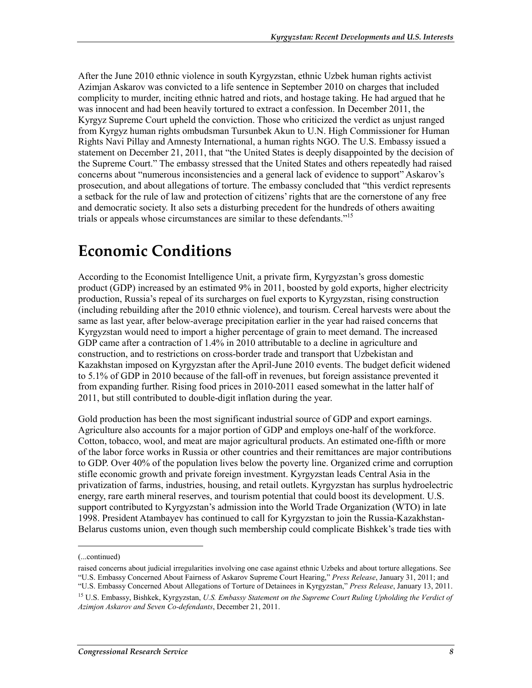After the June 2010 ethnic violence in south Kyrgyzstan, ethnic Uzbek human rights activist Azimjan Askarov was convicted to a life sentence in September 2010 on charges that included complicity to murder, inciting ethnic hatred and riots, and hostage taking. He had argued that he was innocent and had been heavily tortured to extract a confession. In December 2011, the Kyrgyz Supreme Court upheld the conviction. Those who criticized the verdict as unjust ranged from Kyrgyz human rights ombudsman Tursunbek Akun to U.N. High Commissioner for Human Rights Navi Pillay and Amnesty International, a human rights NGO. The U.S. Embassy issued a statement on December 21, 2011, that "the United States is deeply disappointed by the decision of the Supreme Court." The embassy stressed that the United States and others repeatedly had raised concerns about "numerous inconsistencies and a general lack of evidence to support" Askarov's prosecution, and about allegations of torture. The embassy concluded that "this verdict represents a setback for the rule of law and protection of citizens' rights that are the cornerstone of any free and democratic society. It also sets a disturbing precedent for the hundreds of others awaiting trials or appeals whose circumstances are similar to these defendants."<sup>15</sup>

### **Economic Conditions**

According to the Economist Intelligence Unit, a private firm, Kyrgyzstan's gross domestic product (GDP) increased by an estimated 9% in 2011, boosted by gold exports, higher electricity production, Russia's repeal of its surcharges on fuel exports to Kyrgyzstan, rising construction (including rebuilding after the 2010 ethnic violence), and tourism. Cereal harvests were about the same as last year, after below-average precipitation earlier in the year had raised concerns that Kyrgyzstan would need to import a higher percentage of grain to meet demand. The increased GDP came after a contraction of 1.4% in 2010 attributable to a decline in agriculture and construction, and to restrictions on cross-border trade and transport that Uzbekistan and Kazakhstan imposed on Kyrgyzstan after the April-June 2010 events. The budget deficit widened to 5.1% of GDP in 2010 because of the fall-off in revenues, but foreign assistance prevented it from expanding further. Rising food prices in 2010-2011 eased somewhat in the latter half of 2011, but still contributed to double-digit inflation during the year.

Gold production has been the most significant industrial source of GDP and export earnings. Agriculture also accounts for a major portion of GDP and employs one-half of the workforce. Cotton, tobacco, wool, and meat are major agricultural products. An estimated one-fifth or more of the labor force works in Russia or other countries and their remittances are major contributions to GDP. Over 40% of the population lives below the poverty line. Organized crime and corruption stifle economic growth and private foreign investment. Kyrgyzstan leads Central Asia in the privatization of farms, industries, housing, and retail outlets. Kyrgyzstan has surplus hydroelectric energy, rare earth mineral reserves, and tourism potential that could boost its development. U.S. support contributed to Kyrgyzstan's admission into the World Trade Organization (WTO) in late 1998. President Atambayev has continued to call for Kyrgyzstan to join the Russia-Kazakhstan-Belarus customs union, even though such membership could complicate Bishkek's trade ties with

 $\overline{a}$ 

"U.S. Embassy Concerned About Allegations of Torture of Detainees in Kyrgyzstan," *Press Release*, January 13, 2011.

<sup>(...</sup>continued)

raised concerns about judicial irregularities involving one case against ethnic Uzbeks and about torture allegations. See "U.S. Embassy Concerned About Fairness of Askarov Supreme Court Hearing," *Press Release*, January 31, 2011; and

<sup>15</sup> U.S. Embassy, Bishkek, Kyrgyzstan, *U.S. Embassy Statement on the Supreme Court Ruling Upholding the Verdict of Azimjon Askarov and Seven Co-defendants*, December 21, 2011.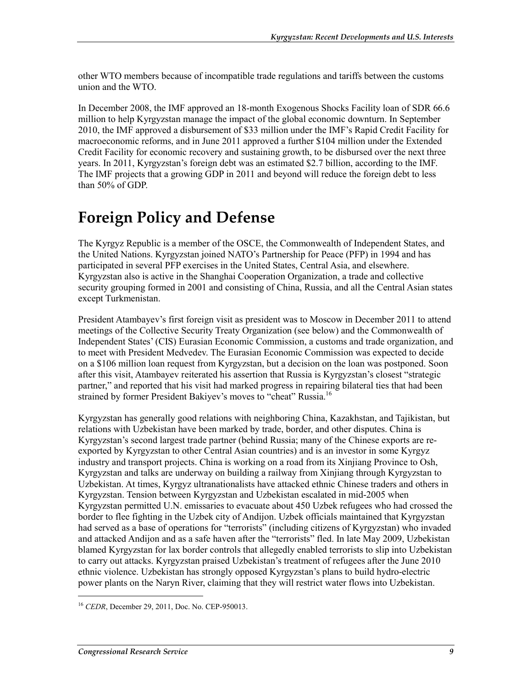other WTO members because of incompatible trade regulations and tariffs between the customs union and the WTO.

In December 2008, the IMF approved an 18-month Exogenous Shocks Facility loan of SDR 66.6 million to help Kyrgyzstan manage the impact of the global economic downturn. In September 2010, the IMF approved a disbursement of \$33 million under the IMF's Rapid Credit Facility for macroeconomic reforms, and in June 2011 approved a further \$104 million under the Extended Credit Facility for economic recovery and sustaining growth, to be disbursed over the next three years. In 2011, Kyrgyzstan's foreign debt was an estimated \$2.7 billion, according to the IMF. The IMF projects that a growing GDP in 2011 and beyond will reduce the foreign debt to less than 50% of GDP.

## **Foreign Policy and Defense**

The Kyrgyz Republic is a member of the OSCE, the Commonwealth of Independent States, and the United Nations. Kyrgyzstan joined NATO's Partnership for Peace (PFP) in 1994 and has participated in several PFP exercises in the United States, Central Asia, and elsewhere. Kyrgyzstan also is active in the Shanghai Cooperation Organization, a trade and collective security grouping formed in 2001 and consisting of China, Russia, and all the Central Asian states except Turkmenistan.

President Atambayev's first foreign visit as president was to Moscow in December 2011 to attend meetings of the Collective Security Treaty Organization (see below) and the Commonwealth of Independent States' (CIS) Eurasian Economic Commission, a customs and trade organization, and to meet with President Medvedev. The Eurasian Economic Commission was expected to decide on a \$106 million loan request from Kyrgyzstan, but a decision on the loan was postponed. Soon after this visit, Atambayev reiterated his assertion that Russia is Kyrgyzstan's closest "strategic partner," and reported that his visit had marked progress in repairing bilateral ties that had been strained by former President Bakiyev's moves to "cheat" Russia.<sup>16</sup>

Kyrgyzstan has generally good relations with neighboring China, Kazakhstan, and Tajikistan, but relations with Uzbekistan have been marked by trade, border, and other disputes. China is Kyrgyzstan's second largest trade partner (behind Russia; many of the Chinese exports are reexported by Kyrgyzstan to other Central Asian countries) and is an investor in some Kyrgyz industry and transport projects. China is working on a road from its Xinjiang Province to Osh, Kyrgyzstan and talks are underway on building a railway from Xinjiang through Kyrgyzstan to Uzbekistan. At times, Kyrgyz ultranationalists have attacked ethnic Chinese traders and others in Kyrgyzstan. Tension between Kyrgyzstan and Uzbekistan escalated in mid-2005 when Kyrgyzstan permitted U.N. emissaries to evacuate about 450 Uzbek refugees who had crossed the border to flee fighting in the Uzbek city of Andijon. Uzbek officials maintained that Kyrgyzstan had served as a base of operations for "terrorists" (including citizens of Kyrgyzstan) who invaded and attacked Andijon and as a safe haven after the "terrorists" fled. In late May 2009, Uzbekistan blamed Kyrgyzstan for lax border controls that allegedly enabled terrorists to slip into Uzbekistan to carry out attacks. Kyrgyzstan praised Uzbekistan's treatment of refugees after the June 2010 ethnic violence. Uzbekistan has strongly opposed Kyrgyzstan's plans to build hydro-electric power plants on the Naryn River, claiming that they will restrict water flows into Uzbekistan.

<sup>16</sup> *CEDR*, December 29, 2011, Doc. No. CEP-950013.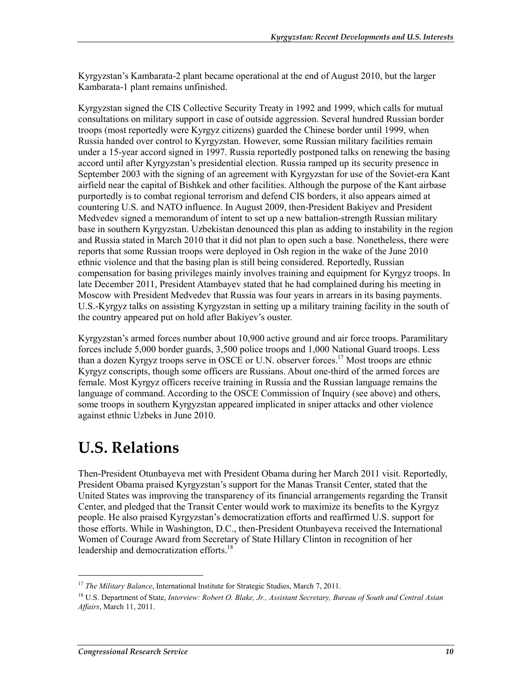Kyrgyzstan's Kambarata-2 plant became operational at the end of August 2010, but the larger Kambarata-1 plant remains unfinished.

Kyrgyzstan signed the CIS Collective Security Treaty in 1992 and 1999, which calls for mutual consultations on military support in case of outside aggression. Several hundred Russian border troops (most reportedly were Kyrgyz citizens) guarded the Chinese border until 1999, when Russia handed over control to Kyrgyzstan. However, some Russian military facilities remain under a 15-year accord signed in 1997. Russia reportedly postponed talks on renewing the basing accord until after Kyrgyzstan's presidential election. Russia ramped up its security presence in September 2003 with the signing of an agreement with Kyrgyzstan for use of the Soviet-era Kant airfield near the capital of Bishkek and other facilities. Although the purpose of the Kant airbase purportedly is to combat regional terrorism and defend CIS borders, it also appears aimed at countering U.S. and NATO influence. In August 2009, then-President Bakiyev and President Medvedev signed a memorandum of intent to set up a new battalion-strength Russian military base in southern Kyrgyzstan. Uzbekistan denounced this plan as adding to instability in the region and Russia stated in March 2010 that it did not plan to open such a base. Nonetheless, there were reports that some Russian troops were deployed in Osh region in the wake of the June 2010 ethnic violence and that the basing plan is still being considered. Reportedly, Russian compensation for basing privileges mainly involves training and equipment for Kyrgyz troops. In late December 2011, President Atambayev stated that he had complained during his meeting in Moscow with President Medvedev that Russia was four years in arrears in its basing payments. U.S.-Kyrgyz talks on assisting Kyrgyzstan in setting up a military training facility in the south of the country appeared put on hold after Bakiyev's ouster.

Kyrgyzstan's armed forces number about 10,900 active ground and air force troops. Paramilitary forces include 5,000 border guards, 3,500 police troops and 1,000 National Guard troops. Less than a dozen Kyrgyz troops serve in OSCE or U.N. observer forces.<sup>17</sup> Most troops are ethnic Kyrgyz conscripts, though some officers are Russians. About one-third of the armed forces are female. Most Kyrgyz officers receive training in Russia and the Russian language remains the language of command. According to the OSCE Commission of Inquiry (see above) and others, some troops in southern Kyrgyzstan appeared implicated in sniper attacks and other violence against ethnic Uzbeks in June 2010.

## **U.S. Relations**

Then-President Otunbayeva met with President Obama during her March 2011 visit. Reportedly, President Obama praised Kyrgyzstan's support for the Manas Transit Center, stated that the United States was improving the transparency of its financial arrangements regarding the Transit Center, and pledged that the Transit Center would work to maximize its benefits to the Kyrgyz people. He also praised Kyrgyzstan's democratization efforts and reaffirmed U.S. support for those efforts. While in Washington, D.C., then-President Otunbayeva received the International Women of Courage Award from Secretary of State Hillary Clinton in recognition of her leadership and democratization efforts.<sup>18</sup>

<sup>&</sup>lt;sup>17</sup> *The Military Balance*, International Institute for Strategic Studies, March 7, 2011.

<sup>18</sup> U.S. Department of State, *Interview: Robert O. Blake, Jr., Assistant Secretary, Bureau of South and Central Asian Affairs*, March 11, 2011.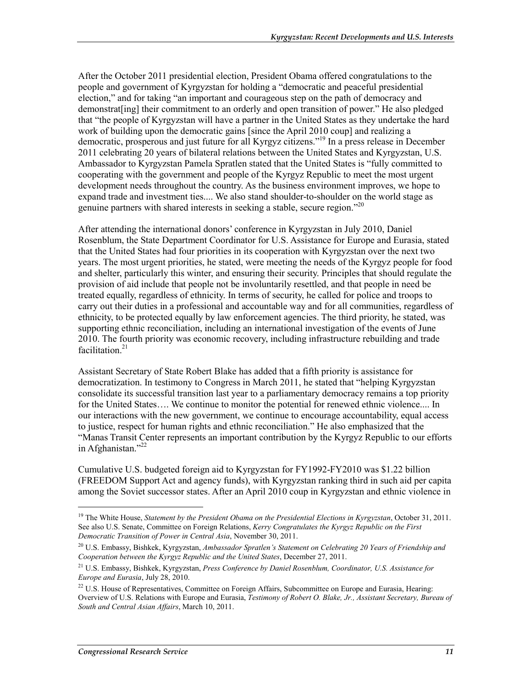After the October 2011 presidential election, President Obama offered congratulations to the people and government of Kyrgyzstan for holding a "democratic and peaceful presidential election," and for taking "an important and courageous step on the path of democracy and demonstrat[ing] their commitment to an orderly and open transition of power." He also pledged that "the people of Kyrgyzstan will have a partner in the United States as they undertake the hard work of building upon the democratic gains [since the April 2010 coup] and realizing a democratic, prosperous and just future for all Kyrgyz citizens."19 In a press release in December 2011 celebrating 20 years of bilateral relations between the United States and Kyrgyzstan, U.S. Ambassador to Kyrgyzstan Pamela Spratlen stated that the United States is "fully committed to cooperating with the government and people of the Kyrgyz Republic to meet the most urgent development needs throughout the country. As the business environment improves, we hope to expand trade and investment ties.... We also stand shoulder-to-shoulder on the world stage as genuine partners with shared interests in seeking a stable, secure region."20

After attending the international donors' conference in Kyrgyzstan in July 2010, Daniel Rosenblum, the State Department Coordinator for U.S. Assistance for Europe and Eurasia, stated that the United States had four priorities in its cooperation with Kyrgyzstan over the next two years. The most urgent priorities, he stated, were meeting the needs of the Kyrgyz people for food and shelter, particularly this winter, and ensuring their security. Principles that should regulate the provision of aid include that people not be involuntarily resettled, and that people in need be treated equally, regardless of ethnicity. In terms of security, he called for police and troops to carry out their duties in a professional and accountable way and for all communities, regardless of ethnicity, to be protected equally by law enforcement agencies. The third priority, he stated, was supporting ethnic reconciliation, including an international investigation of the events of June 2010. The fourth priority was economic recovery, including infrastructure rebuilding and trade facilitation. $21$ 

Assistant Secretary of State Robert Blake has added that a fifth priority is assistance for democratization. In testimony to Congress in March 2011, he stated that "helping Kyrgyzstan consolidate its successful transition last year to a parliamentary democracy remains a top priority for the United States…. We continue to monitor the potential for renewed ethnic violence.... In our interactions with the new government, we continue to encourage accountability, equal access to justice, respect for human rights and ethnic reconciliation." He also emphasized that the "Manas Transit Center represents an important contribution by the Kyrgyz Republic to our efforts in Afghanistan." $^{22}$ 

Cumulative U.S. budgeted foreign aid to Kyrgyzstan for FY1992-FY2010 was \$1.22 billion (FREEDOM Support Act and agency funds), with Kyrgyzstan ranking third in such aid per capita among the Soviet successor states. After an April 2010 coup in Kyrgyzstan and ethnic violence in

<sup>&</sup>lt;sup>19</sup> The White House, *Statement by the President Obama on the Presidential Elections in Kyrgyzstan*, October 31, 2011. See also U.S. Senate, Committee on Foreign Relations, *Kerry Congratulates the Kyrgyz Republic on the First Democratic Transition of Power in Central Asia*, November 30, 2011.

<sup>20</sup> U.S. Embassy, Bishkek, Kyrgyzstan, *Ambassador Spratlen's Statement on Celebrating 20 Years of Friendship and Cooperation between the Kyrgyz Republic and the United States*, December 27, 2011.

<sup>21</sup> U.S. Embassy, Bishkek, Kyrgyzstan, *Press Conference by Daniel Rosenblum, Coordinator, U.S. Assistance for Europe and Eurasia*, July 28, 2010.

<sup>&</sup>lt;sup>22</sup> U.S. House of Representatives, Committee on Foreign Affairs, Subcommittee on Europe and Eurasia, Hearing: Overview of U.S. Relations with Europe and Eurasia, *Testimony of Robert O. Blake, Jr., Assistant Secretary, Bureau of South and Central Asian Affairs*, March 10, 2011.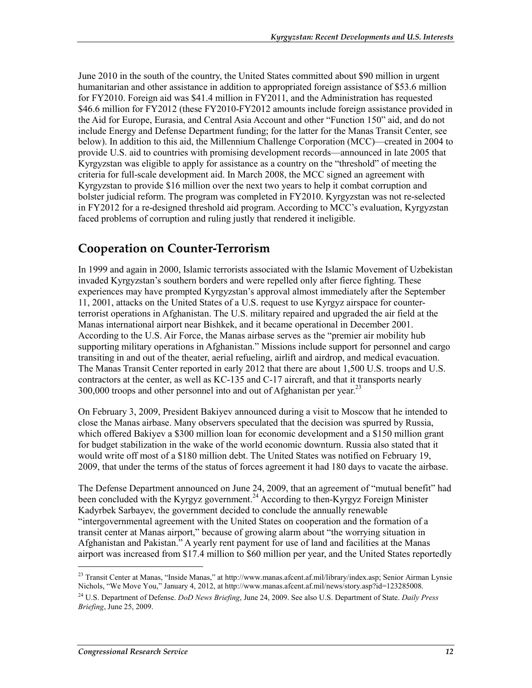June 2010 in the south of the country, the United States committed about \$90 million in urgent humanitarian and other assistance in addition to appropriated foreign assistance of \$53.6 million for FY2010. Foreign aid was \$41.4 million in FY2011, and the Administration has requested \$46.6 million for FY2012 (these FY2010-FY2012 amounts include foreign assistance provided in the Aid for Europe, Eurasia, and Central Asia Account and other "Function 150" aid, and do not include Energy and Defense Department funding; for the latter for the Manas Transit Center, see below). In addition to this aid, the Millennium Challenge Corporation (MCC)—created in 2004 to provide U.S. aid to countries with promising development records—announced in late 2005 that Kyrgyzstan was eligible to apply for assistance as a country on the "threshold" of meeting the criteria for full-scale development aid. In March 2008, the MCC signed an agreement with Kyrgyzstan to provide \$16 million over the next two years to help it combat corruption and bolster judicial reform. The program was completed in FY2010. Kyrgyzstan was not re-selected in FY2012 for a re-designed threshold aid program. According to MCC's evaluation, Kyrgyzstan faced problems of corruption and ruling justly that rendered it ineligible.

#### **Cooperation on Counter-Terrorism**

In 1999 and again in 2000, Islamic terrorists associated with the Islamic Movement of Uzbekistan invaded Kyrgyzstan's southern borders and were repelled only after fierce fighting. These experiences may have prompted Kyrgyzstan's approval almost immediately after the September 11, 2001, attacks on the United States of a U.S. request to use Kyrgyz airspace for counterterrorist operations in Afghanistan. The U.S. military repaired and upgraded the air field at the Manas international airport near Bishkek, and it became operational in December 2001. According to the U.S. Air Force, the Manas airbase serves as the "premier air mobility hub supporting military operations in Afghanistan." Missions include support for personnel and cargo transiting in and out of the theater, aerial refueling, airlift and airdrop, and medical evacuation. The Manas Transit Center reported in early 2012 that there are about 1,500 U.S. troops and U.S. contractors at the center, as well as KC-135 and C-17 aircraft, and that it transports nearly  $300,000$  troops and other personnel into and out of Afghanistan per year.<sup>23</sup>

On February 3, 2009, President Bakiyev announced during a visit to Moscow that he intended to close the Manas airbase. Many observers speculated that the decision was spurred by Russia, which offered Bakiyev a \$300 million loan for economic development and a \$150 million grant for budget stabilization in the wake of the world economic downturn. Russia also stated that it would write off most of a \$180 million debt. The United States was notified on February 19, 2009, that under the terms of the status of forces agreement it had 180 days to vacate the airbase.

The Defense Department announced on June 24, 2009, that an agreement of "mutual benefit" had been concluded with the Kyrgyz government.<sup>24</sup> According to then-Kyrgyz Foreign Minister Kadyrbek Sarbayev, the government decided to conclude the annually renewable "intergovernmental agreement with the United States on cooperation and the formation of a transit center at Manas airport," because of growing alarm about "the worrying situation in Afghanistan and Pakistan." A yearly rent payment for use of land and facilities at the Manas airport was increased from \$17.4 million to \$60 million per year, and the United States reportedly

<sup>&</sup>lt;sup>23</sup> Transit Center at Manas, "Inside Manas," at http://www.manas.afcent.af.mil/library/index.asp; Senior Airman Lynsie Nichols, "We Move You," January 4, 2012, at http://www.manas.afcent.af.mil/news/story.asp?id=123285008.

<sup>24</sup> U.S. Department of Defense. *DoD News Briefing*, June 24, 2009. See also U.S. Department of State. *Daily Press Briefing*, June 25, 2009.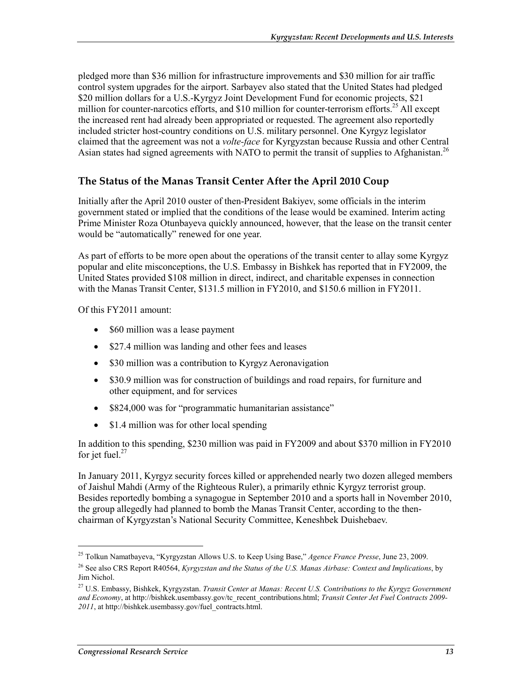pledged more than \$36 million for infrastructure improvements and \$30 million for air traffic control system upgrades for the airport. Sarbayev also stated that the United States had pledged \$20 million dollars for a U.S.-Kyrgyz Joint Development Fund for economic projects, \$21 million for counter-narcotics efforts, and \$10 million for counter-terrorism efforts.<sup>25</sup> All except the increased rent had already been appropriated or requested. The agreement also reportedly included stricter host-country conditions on U.S. military personnel. One Kyrgyz legislator claimed that the agreement was not a *volte-face* for Kyrgyzstan because Russia and other Central Asian states had signed agreements with NATO to permit the transit of supplies to Afghanistan.<sup>26</sup>

#### **The Status of the Manas Transit Center After the April 2010 Coup**

Initially after the April 2010 ouster of then-President Bakiyev, some officials in the interim government stated or implied that the conditions of the lease would be examined. Interim acting Prime Minister Roza Otunbayeva quickly announced, however, that the lease on the transit center would be "automatically" renewed for one year.

As part of efforts to be more open about the operations of the transit center to allay some Kyrgyz popular and elite misconceptions, the U.S. Embassy in Bishkek has reported that in FY2009, the United States provided \$108 million in direct, indirect, and charitable expenses in connection with the Manas Transit Center, \$131.5 million in FY2010, and \$150.6 million in FY2011.

Of this FY2011 amount:

- \$60 million was a lease payment
- \$27.4 million was landing and other fees and leases
- \$30 million was a contribution to Kyrgyz Aeronavigation
- \$30.9 million was for construction of buildings and road repairs, for furniture and other equipment, and for services
- \$824,000 was for "programmatic humanitarian assistance"
- \$1.4 million was for other local spending

In addition to this spending, \$230 million was paid in FY2009 and about \$370 million in FY2010 for jet fuel. $27$ 

In January 2011, Kyrgyz security forces killed or apprehended nearly two dozen alleged members of Jaishul Mahdi (Army of the Righteous Ruler), a primarily ethnic Kyrgyz terrorist group. Besides reportedly bombing a synagogue in September 2010 and a sports hall in November 2010, the group allegedly had planned to bomb the Manas Transit Center, according to the thenchairman of Kyrgyzstan's National Security Committee, Keneshbek Duishebaev.

 $\overline{a}$ 

<sup>25</sup> Tolkun Namatbayeva, "Kyrgyzstan Allows U.S. to Keep Using Base," *Agence France Presse*, June 23, 2009.

<sup>26</sup> See also CRS Report R40564, *Kyrgyzstan and the Status of the U.S. Manas Airbase: Context and Implications*, by Jim Nichol.

<sup>27</sup> U.S. Embassy, Bishkek, Kyrgyzstan. *Transit Center at Manas: Recent U.S. Contributions to the Kyrgyz Government and Economy*, at http://bishkek.usembassy.gov/tc\_recent\_contributions.html; *Transit Center Jet Fuel Contracts 2009- 2011*, at http://bishkek.usembassy.gov/fuel\_contracts.html.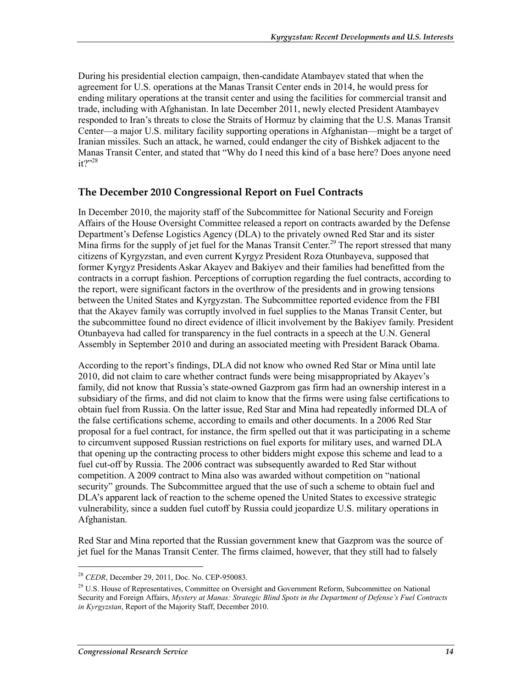During his presidential election campaign, then-candidate Atambayev stated that when the agreement for U.S. operations at the Manas Transit Center ends in 2014, he would press for ending military operations at the transit center and using the facilities for commercial transit and trade, including with Afghanistan. In late December 2011, newly elected President Atambayev responded to Iran's threats to close the Straits of Hormuz by claiming that the U.S. Manas Transit Center—a major U.S. military facility supporting operations in Afghanistan—might be a target of Iranian missiles. Such an attack, he warned, could endanger the city of Bishkek adjacent to the Manas Transit Center, and stated that "Why do I need this kind of a base here? Does anyone need  $it?$ <sup>28</sup>

#### **The December 2010 Congressional Report on Fuel Contracts**

In December 2010, the majority staff of the Subcommittee for National Security and Foreign Affairs of the House Oversight Committee released a report on contracts awarded by the Defense Department's Defense Logistics Agency (DLA) to the privately owned Red Star and its sister Mina firms for the supply of jet fuel for the Manas Transit Center.<sup>29</sup> The report stressed that many citizens of Kyrgyzstan, and even current Kyrgyz President Roza Otunbayeva, supposed that former Kyrgyz Presidents Askar Akayev and Bakiyev and their families had benefitted from the contracts in a corrupt fashion. Perceptions of corruption regarding the fuel contracts, according to the report, were significant factors in the overthrow of the presidents and in growing tensions between the United States and Kyrgyzstan. The Subcommittee reported evidence from the FBI that the Akayev family was corruptly involved in fuel supplies to the Manas Transit Center, but the subcommittee found no direct evidence of illicit involvement by the Bakiyev family. President Otunbayeva had called for transparency in the fuel contracts in a speech at the U.N. General Assembly in September 2010 and during an associated meeting with President Barack Obama.

According to the report's findings, DLA did not know who owned Red Star or Mina until late 2010, did not claim to care whether contract funds were being misappropriated by Akayev's family, did not know that Russia's state-owned Gazprom gas firm had an ownership interest in a subsidiary of the firms, and did not claim to know that the firms were using false certifications to obtain fuel from Russia. On the latter issue, Red Star and Mina had repeatedly informed DLA of the false certifications scheme, according to emails and other documents. In a 2006 Red Star proposal for a fuel contract, for instance, the firm spelled out that it was participating in a scheme to circumvent supposed Russian restrictions on fuel exports for military uses, and warned DLA that opening up the contracting process to other bidders might expose this scheme and lead to a fuel cut-off by Russia. The 2006 contract was subsequently awarded to Red Star without competition. A 2009 contract to Mina also was awarded without competition on "national security" grounds. The Subcommittee argued that the use of such a scheme to obtain fuel and DLA's apparent lack of reaction to the scheme opened the United States to excessive strategic vulnerability, since a sudden fuel cutoff by Russia could jeopardize U.S. military operations in Afghanistan.

Red Star and Mina reported that the Russian government knew that Gazprom was the source of jet fuel for the Manas Transit Center. The firms claimed, however, that they still had to falsely

<sup>28</sup> *CEDR*, December 29, 2011, Doc. No. CEP-950083.

<sup>&</sup>lt;sup>29</sup> U.S. House of Representatives, Committee on Oversight and Government Reform, Subcommittee on National Security and Foreign Affairs, *Mystery at Manas: Strategic Blind Spots in the Department of Defense's Fuel Contracts in Kyrgyzstan*, Report of the Majority Staff, December 2010.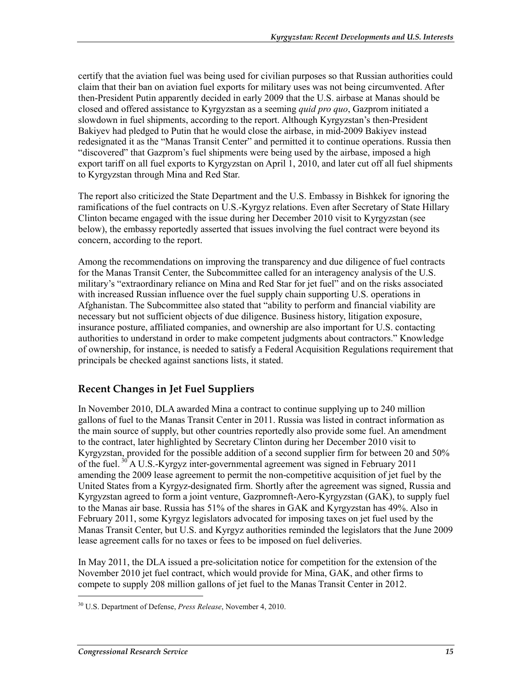certify that the aviation fuel was being used for civilian purposes so that Russian authorities could claim that their ban on aviation fuel exports for military uses was not being circumvented. After then-President Putin apparently decided in early 2009 that the U.S. airbase at Manas should be closed and offered assistance to Kyrgyzstan as a seeming *quid pro quo*, Gazprom initiated a slowdown in fuel shipments, according to the report. Although Kyrgyzstan's then-President Bakiyev had pledged to Putin that he would close the airbase, in mid-2009 Bakiyev instead redesignated it as the "Manas Transit Center" and permitted it to continue operations. Russia then "discovered" that Gazprom's fuel shipments were being used by the airbase, imposed a high export tariff on all fuel exports to Kyrgyzstan on April 1, 2010, and later cut off all fuel shipments to Kyrgyzstan through Mina and Red Star.

The report also criticized the State Department and the U.S. Embassy in Bishkek for ignoring the ramifications of the fuel contracts on U.S.-Kyrgyz relations. Even after Secretary of State Hillary Clinton became engaged with the issue during her December 2010 visit to Kyrgyzstan (see below), the embassy reportedly asserted that issues involving the fuel contract were beyond its concern, according to the report.

Among the recommendations on improving the transparency and due diligence of fuel contracts for the Manas Transit Center, the Subcommittee called for an interagency analysis of the U.S. military's "extraordinary reliance on Mina and Red Star for jet fuel" and on the risks associated with increased Russian influence over the fuel supply chain supporting U.S. operations in Afghanistan. The Subcommittee also stated that "ability to perform and financial viability are necessary but not sufficient objects of due diligence. Business history, litigation exposure, insurance posture, affiliated companies, and ownership are also important for U.S. contacting authorities to understand in order to make competent judgments about contractors." Knowledge of ownership, for instance, is needed to satisfy a Federal Acquisition Regulations requirement that principals be checked against sanctions lists, it stated.

#### **Recent Changes in Jet Fuel Suppliers**

In November 2010, DLA awarded Mina a contract to continue supplying up to 240 million gallons of fuel to the Manas Transit Center in 2011. Russia was listed in contract information as the main source of supply, but other countries reportedly also provide some fuel. An amendment to the contract, later highlighted by Secretary Clinton during her December 2010 visit to Kyrgyzstan, provided for the possible addition of a second supplier firm for between 20 and 50% of the fuel. 30 A U.S.-Kyrgyz inter-governmental agreement was signed in February 2011 amending the 2009 lease agreement to permit the non-competitive acquisition of jet fuel by the United States from a Kyrgyz-designated firm. Shortly after the agreement was signed, Russia and Kyrgyzstan agreed to form a joint venture, Gazpromneft-Aero-Kyrgyzstan (GAK), to supply fuel to the Manas air base. Russia has 51% of the shares in GAK and Kyrgyzstan has 49%. Also in February 2011, some Kyrgyz legislators advocated for imposing taxes on jet fuel used by the Manas Transit Center, but U.S. and Kyrgyz authorities reminded the legislators that the June 2009 lease agreement calls for no taxes or fees to be imposed on fuel deliveries.

In May 2011, the DLA issued a pre-solicitation notice for competition for the extension of the November 2010 jet fuel contract, which would provide for Mina, GAK, and other firms to compete to supply 208 million gallons of jet fuel to the Manas Transit Center in 2012.

<sup>30</sup> U.S. Department of Defense, *Press Release*, November 4, 2010.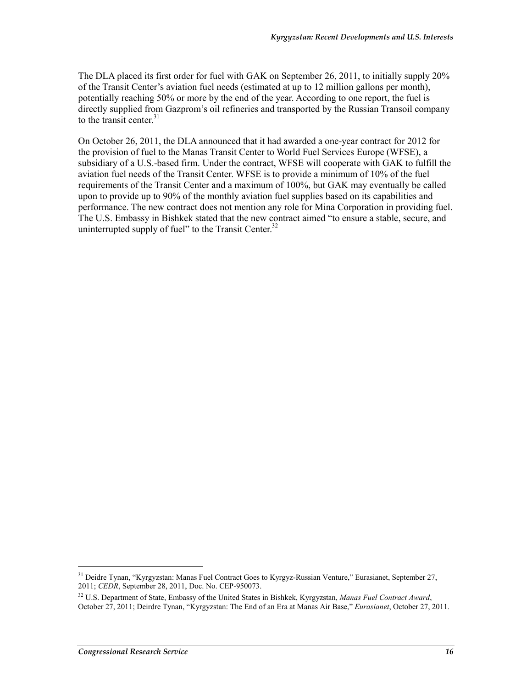The DLA placed its first order for fuel with GAK on September 26, 2011, to initially supply 20% of the Transit Center's aviation fuel needs (estimated at up to 12 million gallons per month), potentially reaching 50% or more by the end of the year. According to one report, the fuel is directly supplied from Gazprom's oil refineries and transported by the Russian Transoil company to the transit center.<sup>31</sup>

On October 26, 2011, the DLA announced that it had awarded a one-year contract for 2012 for the provision of fuel to the Manas Transit Center to World Fuel Services Europe (WFSE), a subsidiary of a U.S.-based firm. Under the contract, WFSE will cooperate with GAK to fulfill the aviation fuel needs of the Transit Center. WFSE is to provide a minimum of 10% of the fuel requirements of the Transit Center and a maximum of 100%, but GAK may eventually be called upon to provide up to 90% of the monthly aviation fuel supplies based on its capabilities and performance. The new contract does not mention any role for Mina Corporation in providing fuel. The U.S. Embassy in Bishkek stated that the new contract aimed "to ensure a stable, secure, and uninterrupted supply of fuel" to the Transit Center. $32$ 

<sup>&</sup>lt;sup>31</sup> Deidre Tynan, "Kyrgyzstan: Manas Fuel Contract Goes to Kyrgyz-Russian Venture," Eurasianet, September 27, 2011; *CEDR*, September 28, 2011, Doc. No. CEP-950073.

<sup>32</sup> U.S. Department of State, Embassy of the United States in Bishkek, Kyrgyzstan, *Manas Fuel Contract Award*, October 27, 2011; Deirdre Tynan, "Kyrgyzstan: The End of an Era at Manas Air Base," *Eurasianet*, October 27, 2011.